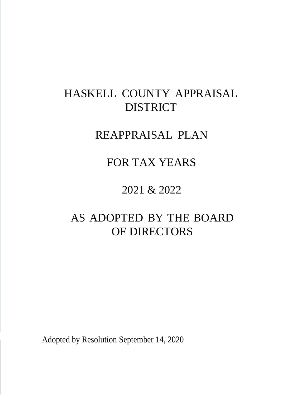# HASKELL COUNTY APPRAISAL DISTRICT

# REAPPRAISAL PLAN

# FOR TAX YEARS

# 2021 & 2022

# AS ADOPTED BY THE BOARD OF DIRECTORS

Adopted by Resolution September 14, 2020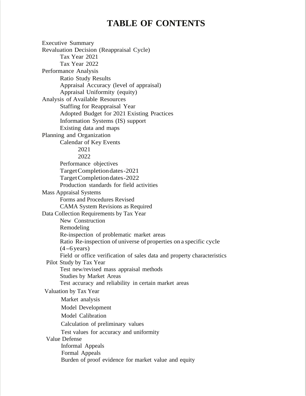# **TABLE OF CONTENTS**

Executive Summary Revaluation Decision (Reappraisal Cycle) Tax Year 2021 Tax Year 2022 Performance Analysis Ratio Study Results Appraisal Accuracy (level of appraisal) Appraisal Uniformity (equity) Analysis of Available Resources Staffing for Reappraisal Year Adopted Budget for 2021 Existing Practices Information Systems (IS) support Existing data and maps Planning and Organization Calendar of Key Events 2021 2022 Performance objectives TargetCompletiondates-2021 Target Completion dates-2022 Production standards for field activities Mass Appraisal Systems Forms and Procedures Revised CAMA System Revisions as Required Data Collection Requirements by Tax Year New Construction Remodeling Re-inspection of problematic market areas Ratio Re-inspection of universe of properties on a specific cycle  $(4-6$  years) Field or office verification of sales data and property characteristics Pilot Study by Tax Year Test new/revised mass appraisal methods Studies by Market Areas Test accuracy and reliability in certain market areas Valuation by Tax Year Market analysis Model Development Model Calibration Calculation of preliminary values Test values for accuracy and uniformity Value Defense Informal Appeals Formal Appeals Burden of proof evidence for market value and equity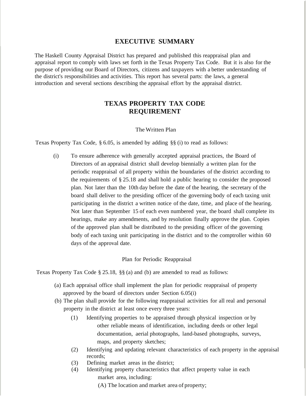#### **EXECUTIVE SUMMARY**

The Haskell County Appraisal District has prepared and published this reappraisal plan and appraisal report to comply with laws set forth in the Texas Property Tax Code. But it is also for the purpose of providing our Board of Directors, citizens and taxpayers with a better understanding of the district's responsibilities and activities. This report has several parts: the laws, a general introduction and several sections describing the appraisal effort by the appraisal district.

#### **TEXAS PROPERTY TAX CODE REQUIREMENT**

#### The Written Plan

Texas Property Tax Code, § 6.05, is amended by adding §§ (i) to read as follows:

(i) To ensure adherence with generally accepted appraisal practices, the Board of Directors of an appraisal district shall develop biennially a written plan for the periodic reappraisal of all property within the boundaries of the district according to the requirements of § 25.18 and shall hold a public hearing to consider the proposed plan. Not later than the 10th day before the date of the hearing, the secretary of the board shall deliver to the presiding officer of the governing body of each taxing unit participating in the district a written notice of the date, time, and place of the hearing. Not later than September 15 of each even numbered year, the board shall complete its hearings, make any amendments, and by resolution finally approve the plan. Copies of the approved plan shall be distributed to the presiding officer of the governing body of each taxing unit participating in the district and to the comptroller within 60 days of the approval date.

#### Plan for Periodic Reappraisal

Texas Property Tax Code § 25.18, §§ (a) and (b) are amended to read as follows:

- (a) Each appraisal office shall implement the plan for periodic reappraisal of property approved by the board of directors under Section 6.05(i)
- (b) The plan shall provide for the following reappraisal activities for all real and personal property in the district at least once every three years:
	- (1) Identifying properties to be appraised through physical inspection or by other reliable means of identification, including deeds or other legal documentation, aerial photographs, land-based photographs, surveys, maps, and property sketches;
	- (2) Identifying and updating relevant characteristics of each property in the appraisal records;
	- (3) Defining market areas in the district;
	- (4) Identifying property characteristics that affect property value in each market area, including:

(A) The location and market area of property;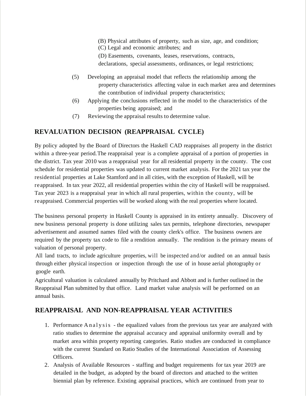- (B) Physical attributes of property, such as size, age, and condition;
- (C) Legal and economic attributes; and
- (D) Easements, covenants, leases, reservations, contracts,

declarations, special assessments, ordinances, or legal restrictions;

- (5) Developing an appraisal model that reflects the relationship among the property characteristics affecting value in each market area and determines the contribution of individual property characteristics;
- (6) Applying the conclusions reflected in the model to the characteristics of the properties being appraised; and
- (7) Reviewing the appraisal results to determine value.

# **REVALUATION DECISION (REAPPRAISAL CYCLE)**

By policy adopted by the Board of Directors the Haskell CAD reappraises all property in the district within a three-year period. The reappraisal year is a complete appraisal of a portion of properties in the district. Tax year 2010 was a reappraisal year for all residential property in the county. The cost schedule for residential properties was updated to current market analysis. For the 2021 tax year the residential properties at Lake Stamford and in all cities, with the exception of Haskell, will be reappraised. In tax year 2022, all residential properties within the city of Haskell will be reappraised. Tax year 2023 is a reappraisal year in which all rural properties, within the county, will be reappraised. Commercial properties will be worked along with the real properties where located.

The business personal property in Haskell County is appraised in its entirety annually. Discovery of new business personal property is done utilizing sales tax permits, telephone directories, newspaper advertisement and assumed names filed with the county clerk's office. The business owners are required by the property tax code to file a rendition annually. The rendition is the primary means of valuation of personal property.

All land tracts, to include agriculture properties, will be inspected and/or audited on an annual basis through either physical inspection or inspection through the use of in house aerial photography or google earth.

Agricultural valuation is calculated annually by Pritchard and Abbott and is further outlined in the Reappraisal Plan submitted by that office. Land market value analysis will be performed on an annual basis.

## **REAPPRAISAL AND NON-REAPPRAISAL YEAR ACTIVITIES**

- 1. Performance Analysis the equalized values from the previous tax year are analyzed with ratio studies to determine the appraisal accuracy and appraisal uniformity overall and by market area within property reporting categories. Ratio studies are conducted in compliance with the current Standard on Ratio Studies of the International Association of Assessing Officers.
- 2. Analysis of Available Resources staffing and budget requirements for tax year 2019 are detailed in the budget, as adopted by the board of directors and attached to the written biennial plan by reference. Existing appraisal practices, which are continued from year to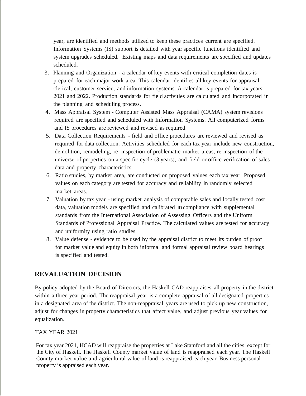year, are identified and methods utilized to keep these practices current are specified. Information Systems (IS) support is detailed with year specific functions identified and system upgrades scheduled. Existing maps and data requirements are specified and updates scheduled.

- 3. Planning and Organization a calendar of key events with critical completion dates is prepared for each major work area. This calendar identifies all key events for appraisal, clerical, customer service, and information systems. A calendar is prepared for tax years 2021 and 2022. Production standards for field activities are calculated and incorporated in the planning and scheduling process.
- 4. Mass Appraisal System Computer Assisted Mass Appraisal (CAMA) system revisions required are specified and scheduled with Information Systems. All computerized forms and IS procedures are reviewed and revised as required.
- 5. Data Collection Requirements field and office procedures are reviewed and revised as required for data collection. Activities scheduled for each tax year include new construction, demolition, remodeling, re- inspection of problematic market areas, re-inspection of the universe of properties on a specific cycle (3 years), and field or office verification of sales data and property characteristics.
- 6. Ratio studies, by market area, are conducted on proposed values each tax year. Proposed values on each category are tested for accuracy and reliability in randomly selected market areas.
- 7. Valuation by tax year using market analysis of comparable sales and locally tested cost data, valuation models are specified and calibrated in compliance with supplemental standards from the International Association of Assessing Officers and the Uniform Standards of Professional Appraisal Practice. The calculated values are tested for accuracy and uniformity using ratio studies.
- 8. Value defense evidence to be used by the appraisal district to meet its burden of proof for market value and equity in both informal and formal appraisal review board hearings is specified and tested.

## **REVALUATION DECISION**

By policy adopted by the Board of Directors, the Haskell CAD reappraises all property in the district within a three-year period. The reappraisal year is a complete appraisal of all designated properties in a designated area of the district. The non-reappraisal years are used to pick up new construction, adjust for changes in property characteristics that affect value, and adjust previous year values for equalization.

#### TAX YEAR 2021

For tax year 2021, HCAD will reappraise the properties at Lake Stamford and all the cities, except for the City of Haskell. The Haskell County market value of land is reappraised each year. The Haskell County market value and agricultural value of land is reappraised each year. Business personal property is appraised each year.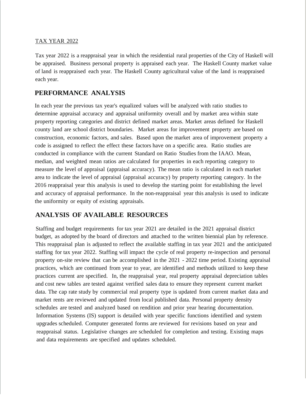#### TAX YEAR 2022

Tax year 2022 is a reappraisal year in which the residential rural properties of the City of Haskell will be appraised. Business personal property is appraised each year. The Haskell County market value of land is reappraised each year. The Haskell County agricultural value of the land is reappraised each year.

## **PERFORMANCE ANALYSIS**

In each year the previous tax year's equalized values will be analyzed with ratio studies to determine appraisal accuracy and appraisal uniformity overall and by market area within state property reporting categories and district defined market areas. Market areas defined for Haskell county land are school district boundaries. Market areas for improvement property are based on construction, economic factors, and sales. Based upon the market area of improvement property a code is assigned to reflect the effect these factors have on a specific area. Ratio studies are conducted in compliance with the current Standard on Ratio Studies from the IAAO. Mean, median, and weighted mean ratios are calculated for properties in each reporting category to measure the level of appraisal (appraisal accuracy). The mean ratio is calculated in each market area to indicate the level of appraisal (appraisal accuracy) by property reporting category. In the 2016 reappraisal year this analysis is used to develop the starting point for establishing the level and accuracy of appraisal performance. In the non-reappraisal year this analysis is used to indicate the uniformity or equity of existing appraisals.

## **ANALYSIS OF AVAILABLE RESOURCES**

Staffing and budget requirements for tax year 2021 are detailed in the 2021 appraisal district budget, as adopted by the board of directors and attached to the written biennial plan by reference. This reappraisal plan is adjusted to reflect the available staffing in tax year 2021 and the anticipated staffing for tax year 2022. Staffing will impact the cycle of real property re-inspection and personal property on-site review that can be accomplished in the 2021 - 2022 time period. Existing appraisal practices, which are continued from year to year, are identified and methods utilized to keep these practices current are specified. In, the reappraisal year, real property appraisal depreciation tables and cost new tables are tested against verified sales data to ensure they represent current market data. The cap rate study by commercial real property type is updated from current market data and market rents are reviewed and updated from local published data. Personal property density schedules are tested and analyzed based on rendition and prior year hearing documentation. Information Systems (IS) support is detailed with year specific functions identified and system upgrades scheduled. Computer generated forms are reviewed for revisions based on year and reappraisal status. Legislative changes are scheduled for completion and testing. Existing maps and data requirements are specified and updates scheduled.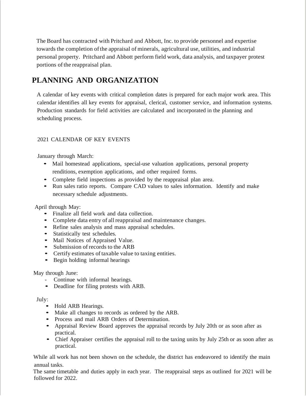The Board has contracted with Pritchard and Abbott, Inc. to provide personnel and expertise towards the completion ofthe appraisal of minerals, agricultural use, utilities, and industrial personal property. Pritchard and Abbott perform field work, data analysis, and taxpayer protest portions of the reappraisal plan.

# **PLANNING AND ORGANIZATION**

A calendar of key events with critical completion dates is prepared for each major work area. This calendar identifies all key events for appraisal, clerical, customer service, and information systems. Production standards for field activities are calculated and incorporated in the planning and scheduling process.

#### 2021 CALENDAR OF KEY EVENTS

January through March:

- Mail homestead applications, special-use valuation applications, personal property renditions, exemption applications, and other required forms.
- Complete field inspections as provided by the reappraisal plan area.
- Run sales ratio reports. Compare CAD values to sales information. Identify and make necessary schedule adjustments.

April through May:

- Finalize all field work and data collection.
- Complete data entry of all reappraisal and maintenance changes.
- Refine sales analysis and mass appraisal schedules.
- Statistically test schedules.
- Mail Notices of Appraised Value.
- Submission of records to the ARB
- Certify estimates of taxable value to taxing entities.
- Begin holding informal hearings

#### May through Ju*n*e:

- Continue with informal hearings.
- Deadline for filing protests with ARB.

July:

- Hold ARB Hearings.
- Make all changes to records as ordered by the ARB.
- Process and mail ARB Orders of Determination.
- Appraisal Review Board approves the appraisal records by July 20th or as soon after as practical.
- Chief Appraiser certifies the appraisal roll to the taxing units by July 25th or as soon after as practical.

While all work has not been shown on the schedule, the district has endeavored to identify the main annual tasks.

The same timetable and duties apply in each year. The reappraisal steps as outlined for 2021 will be followed for 2022.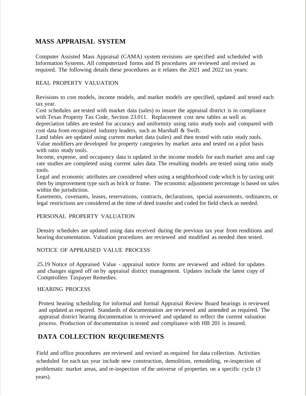### **MASS APPRAISAL SYSTEM**

Computer Assisted Mass Appraisal (CAMA) system revisions are specified and scheduled with Information Systems. All computerized forms and IS procedures are reviewed and revised as required. The following details these procedures as it relates the 2021 and 2022 tax years:

#### REAL PROPERTY VALUATION

Revisions to cost models, income models, and market models are specified, updated and tested each tax year.

Cost schedules are tested with market data (sales) to insure the appraisal district is in compliance with Texas Property Tax Code, Section 23.011. Replacement cost new tables as well as depreciation tables are tested for accuracy and uniformity using ratio study tools and compared with cost data from recognized industry leaders, such as Marshall & Swift.

Land tables are updated using current market data (sales) and then tested with ratio study tools. Value modifiers are developed for property categories by market area and tested on a pilot basis with ratio study tools.

Income, expense, and occupancy data is updated in the income models for each market area and cap rate studies are completed using current sales data. The resulting models are tested using ratio study tools.

Legal and economic attributes are considered when using a neighborhood code which is by taxing unit then by improvement type such as brick or frame. The economic adjustment percentage is based on sales within the jurisdiction.

Easements, covenants, leases, reservations, contracts, declarations, special assessments, ordinances, or legal restrictions are considered at the time of deed transfer and coded for field check as needed.

#### PERSONAL PROPERTY VALUATION

Density schedules are updated using data received during the previous tax year from renditions and hearing documentation. Valuation procedures are reviewed and modified as needed then tested.

#### NOTICE OF APPRAISED VALUE PROCESS

25.19 Notice of Appraised Value - appraisal notice forms are reviewed and edited for updates and changes signed off on by appraisal district management. Updates include the latest copy of Comptrollers Taxpayer Remedies.

#### HEARING PROCESS

Protest hearing scheduling for informal and formal Appraisal Review Board hearings is reviewed and updated as required. Standards of documentation are reviewed and amended as required. The appraisal district hearing documentation is reviewed and updated to reflect the current valuation process. Production of documentation is tested and compliance with HB 201 is insured.

## **DATA COLLECTION REQUIREMENTS**

 Field and office procedures are reviewed and revised as required for data collection. Activities scheduled for each tax year include new construction, demolition, remodeling, re-inspection of problematic market areas, and re-inspection of the universe of properties on a specific cycle (3 years).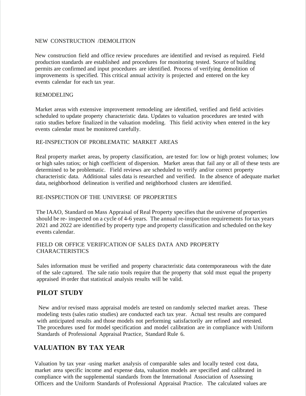#### NEW CONSTRUCTION /DEMOLITION

New construction field and office review procedures are identified and revised as required. Field production standards are established and procedures for monitoring tested. Source of building permits are confirmed and input procedures are identified. Process of verifying demolition of improvements is specified. This critical annual activity is projected and entered on the key events calendar for each tax year.

#### REMODELING

Market areas with extensive improvement remodeling are identified, verified and field activities scheduled to update property characteristic data. Updates to valuation procedures are tested with ratio studies before finalized in the valuation modeling. This field activity when entered in the key events calendar must be monitored carefully.

#### RE-INSPECTION OF PROBLEMATIC MARKET AREAS

Real property market areas, by property classification, are tested for: low or high protest volumes; low or high sales ratios; or high coefficient of dispersion. Market areas that fail any or all of these tests are determined to be problematic. Field reviews are scheduled to verify and/or correct property characteristic data. Additional sales data is researched and verified. In the absence of adequate market data, neighborhood delineation is verified and neighborhood clusters are identified.

#### RE-INSPECTION OF THE UNIVERSE OF PROPERTIES

The IAAO, Standard on Mass Appraisal of Real Property specifies that the universe of properties should be re- inspected on a cycle of 4-6 years. The annual re-inspection requirements for tax years 2021 and 2022 are identified by property type and property classification and scheduled on the key events calendar.

#### FIELD OR OFFICE VERIFICATION OF SALES DATA AND PROPERTY **CHARACTERISTICS**

Sales information must be verified and property characteristic data contemporaneous with the date of the sale captured. The sale ratio tools require that the property that sold must equal the property appraised in order that statistical analysis results will be valid.

#### **PILOT STUDY**

New and/or revised mass appraisal models are tested on randomly selected market areas. These modeling tests (sales ratio studies) are conducted each tax year. Actual test results are compared with anticipated results and those models not performing satisfactorily are refined and retested. The procedures used for model specification and model calibration are in compliance with Uniform Standards of Professional Appraisal Practice, Standard Rule 6.

#### **VALUATION BY TAX YEAR**

Valuation by tax year -using market analysis of comparable sales and locally tested cost data, market area specific income and expense data, valuation models are specified and calibrated in compliance with the supplemental standards from the International Association of Assessing Officers and the Uniform Standards of Professional Appraisal Practice. The calculated values are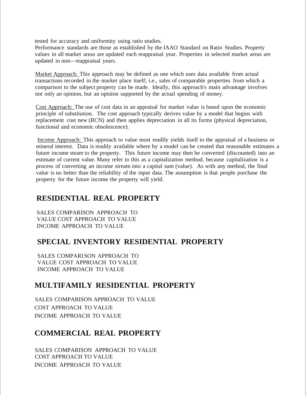tested for accuracy and uniformity using ratio studies.

Performance standards are those as established by the IAAO Standard on Ratio Studies. Property values in all market areas are updated each reappraisal year. Properties in selected market areas are updated in non-- reappraisal years.

Market Approach: This approach may be defined as one which uses data available from actual transactions recorded in the market place itself; i.e., sales of comparable properties from which a comparison to the subject property can be made. Ideally, this approach's main advantage involves not only an opinion, but an opinion supported by the actual spending of money.

Cost Approach: The use of cost data in an appraisal for market value is based upon the economic principle of substitution. The cost approach typically derives value by a model that begins with replacement cost new (RCN) and then applies depreciation in all its forms (physical depreciation, functional and economic obsolescence).

Income Approach: This approach to value most readily yields itself to the appraisal of a business or mineral interest. Data is readily available where by a model can be created that reasonable estimates a future income steam to the property. This future income may then be converted (discounted) into an estimate of current value. Many refer to this as a capitalization method, because capitalization is a process of converting an income stream into a capital sum (value). As with any method, the final value is no better than the reliability of the input data. The assumption is that people purchase the property for the future income the property will yield.

# **RESIDENTIAL REAL PROPERTY**

SALES COMPARISON APPROACH TO VALUE COST APPROACH TO VALUE INCOME APPROACH TO VALUE

# **SPECIAL INVENTORY RESIDENTIAL PROPERTY**

SALES COMPARISON APPROACH TO VALUE COST APPROACH TO VALUE INCOME APPROACH TO VALUE

# **MULTIFAMILY RESIDENTIAL PROPERTY**

SALES COMPARISON APPROACH TO VALUE COST APPROACH TO VALUE INCOME APPROACH TO VALUE

# **COMMERCIAL REAL PROPERTY**

SALES COMPARISON APPROACH TO VALUE COST APPROACH TO VALUE INCOME APPROACH TO VALUE